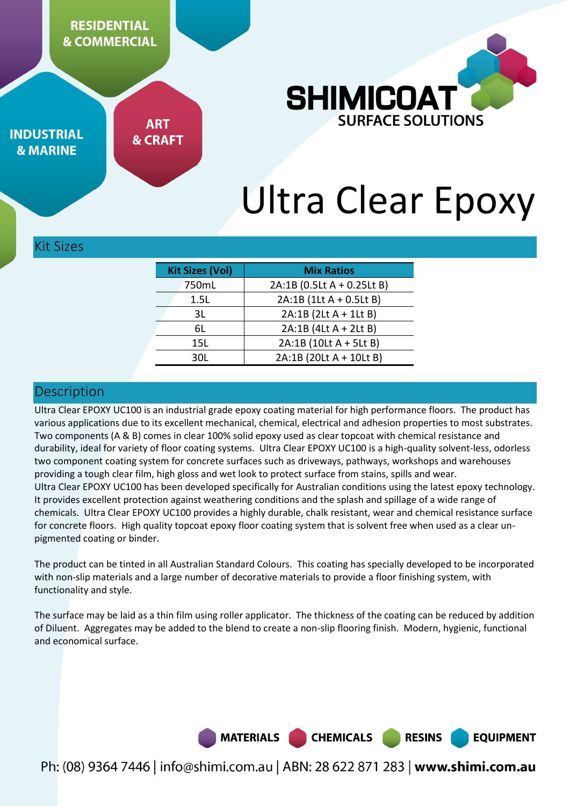**RESIDENTIAL & COMMERCIAL** 



**INDUSTRIAL & MARINE** 

**ART & CRAFT** 

# Ultra Clear Epoxy

#### Kit Sizes

| <b>Kit Sizes (Vol)</b> | <b>Mix Ratios</b>          |
|------------------------|----------------------------|
| 750mL                  | 2A:1B (0.5Lt A + 0.25Lt B) |
| 1.5L                   | 2A:1B (1Lt A + 0.5Lt B)    |
| 3L                     | 2A:1B (2Lt A + 1Lt B)      |
| 6L                     | 2A:1B (4Lt A + 2Lt B)      |
| 15L                    | 2A:1B (10Lt A + 5Lt B)     |
| 30L                    | 2A:1B (20Lt A + 10Lt B)    |

#### Description

Ultra Clear EPOXY UC100 is an industrial grade epoxy coating material for high performance floors. The product has various applications due to its excellent mechanical, chemical, electrical and adhesion properties to most substrates. Two components (A & B) comes in clear 100% solid epoxy used as clear topcoat with chemical resistance and durability, ideal for variety of floor coating systems. Ultra Clear EPOXY UC100 is a high-quality solvent-less, odorless two component coating system for concrete surfaces such as driveways, pathways, workshops and warehouses providing a tough clear film, high gloss and wet look to protect surface from stains, spills and wear. Ultra Clear EPOXY UC100 has been developed specifically for Australian conditions using the latest epoxy technology. It provides excellent protection against weathering conditions and the splash and spillage of a wide range of chemicals. Ultra Clear EPOXY UC100 provides a highly durable, chalk resistant, wear and chemical resistance surface for concrete floors. High quality topcoat epoxy floor coating system that is solvent free when used as a clear unpigmented coating or binder.

The product can be tinted in all Australian Standard Colours. This coating has specially developed to be incorporated with non-slip materials and a large number of decorative materials to provide a floor finishing system, with functionality and style.

The surface may be laid as a thin film using roller applicator. The thickness of the coating can be reduced by addition of Diluent. Aggregates may be added to the blend to create a non-slip flooring finish. Modern, hygienic, functional and economical surface.



**RESINS** 

**EQUIPMENT**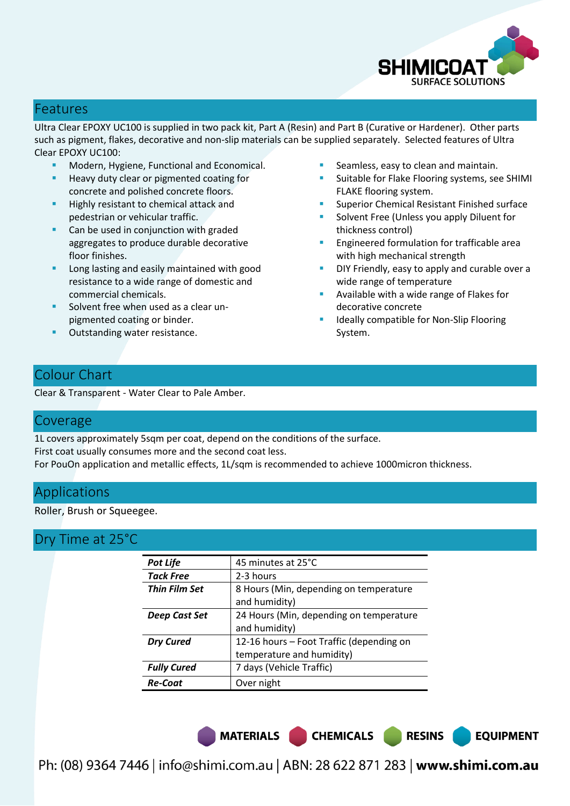

## Features

Ultra Clear EPOXY UC100 is supplied in two pack kit, Part A (Resin) and Part B (Curative or Hardener). Other parts such as pigment, flakes, decorative and non-slip materials can be supplied separately. Selected features of Ultra Clear EPOXY UC100:

- Modern, Hygiene, Functional and Economical.
- Heavy duty clear or pigmented coating for concrete and polished concrete floors.
- Highly resistant to chemical attack and pedestrian or vehicular traffic.
- Can be used in conjunction with graded aggregates to produce durable decorative floor finishes.
- Long lasting and easily maintained with good resistance to a wide range of domestic and commercial chemicals.
- Solvent free when used as a clear unpigmented coating or binder.
- Outstanding water resistance.
- Seamless, easy to clean and maintain.
- Suitable for Flake Flooring systems, see SHIMI FLAKE flooring system.
- Superior Chemical Resistant Finished surface
- Solvent Free (Unless you apply Diluent for thickness control)
- Engineered formulation for trafficable area with high mechanical strength
- DIY Friendly, easy to apply and curable over a wide range of temperature

**EQUIPMENT** 

- Available with a wide range of Flakes for decorative concrete
- Ideally compatible for Non-Slip Flooring System.

# Colour Chart

Clear & Transparent - Water Clear to Pale Amber.

#### Coverage

1L covers approximately 5sqm per coat, depend on the conditions of the surface. First coat usually consumes more and the second coat less. For PouOn application and metallic effects, 1L/sqm is recommended to achieve 1000micron thickness.

### Applications

Roller, Brush or Squeegee.

### Dry Time at 25°C

| <b>Pot Life</b>      | 45 minutes at 25°C                       |
|----------------------|------------------------------------------|
| <b>Tack Free</b>     | 2-3 hours                                |
| <b>Thin Film Set</b> | 8 Hours (Min, depending on temperature   |
|                      | and humidity)                            |
| Deep Cast Set        | 24 Hours (Min, depending on temperature  |
|                      | and humidity)                            |
| <b>Dry Cured</b>     | 12-16 hours – Foot Traffic (depending on |
|                      | temperature and humidity)                |
| <b>Fully Cured</b>   | 7 days (Vehicle Traffic)                 |
| <b>Re-Coat</b>       | Over night                               |

MATERIALS CHEMICALS RESINS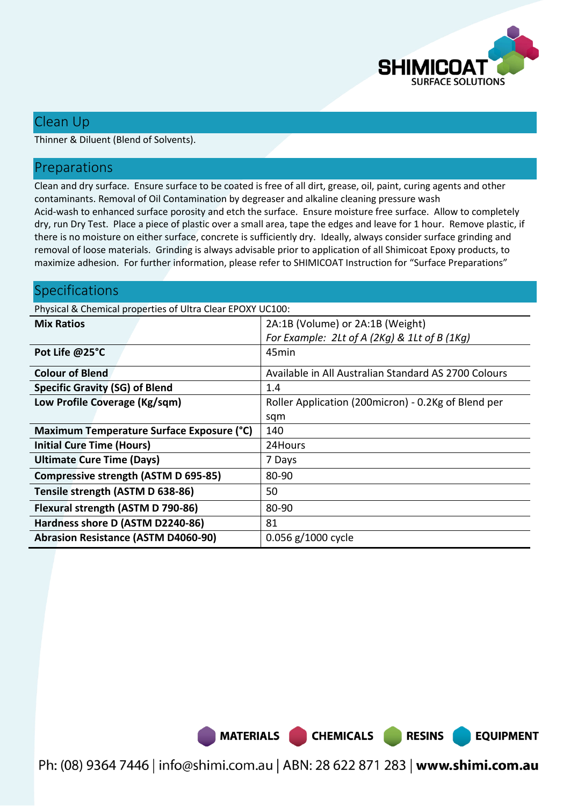

## Clean Up

Thinner & Diluent (Blend of Solvents).

#### Preparations

Clean and dry surface. Ensure surface to be coated is free of all dirt, grease, oil, paint, curing agents and other contaminants. Removal of Oil Contamination by degreaser and alkaline cleaning pressure wash Acid-wash to enhanced surface porosity and etch the surface. Ensure moisture free surface. Allow to completely dry, run Dry Test. Place a piece of plastic over a small area, tape the edges and leave for 1 hour. Remove plastic, if there is no moisture on either surface, concrete is sufficiently dry. Ideally, always consider surface grinding and removal of loose materials. Grinding is always advisable prior to application of all Shimicoat Epoxy products, to maximize adhesion. For further information, please refer to SHIMICOAT Instruction for "Surface Preparations"

## Specifications

Physical & Chemical properties of Ultra Clear EPOXY UC100:

| <b>Mix Ratios</b>                           | 2A:1B (Volume) or 2A:1B (Weight)                     |
|---------------------------------------------|------------------------------------------------------|
|                                             | For Example: 2Lt of A (2Kg) & 1Lt of B (1Kg)         |
| Pot Life @25°C                              | 45min                                                |
| <b>Colour of Blend</b>                      | Available in All Australian Standard AS 2700 Colours |
| <b>Specific Gravity (SG) of Blend</b>       | 1.4                                                  |
| Low Profile Coverage (Kg/sqm)               | Roller Application (200micron) - 0.2Kg of Blend per  |
|                                             | sqm                                                  |
| Maximum Temperature Surface Exposure (°C)   | 140                                                  |
| <b>Initial Cure Time (Hours)</b>            | 24Hours                                              |
| <b>Ultimate Cure Time (Days)</b>            | 7 Days                                               |
| <b>Compressive strength (ASTM D 695-85)</b> | 80-90                                                |
| Tensile strength (ASTM D 638-86)            | 50                                                   |
| Flexural strength (ASTM D 790-86)           | 80-90                                                |
| Hardness shore D (ASTM D2240-86)            | 81                                                   |
| <b>Abrasion Resistance (ASTM D4060-90)</b>  | 0.056 g/1000 cycle                                   |



Ph: (08) 9364 7446 | info@shimi.com.au | ABN: 28 622 871 283 | www.shimi.com.au

**RESINS** 

**EQUIPMENT**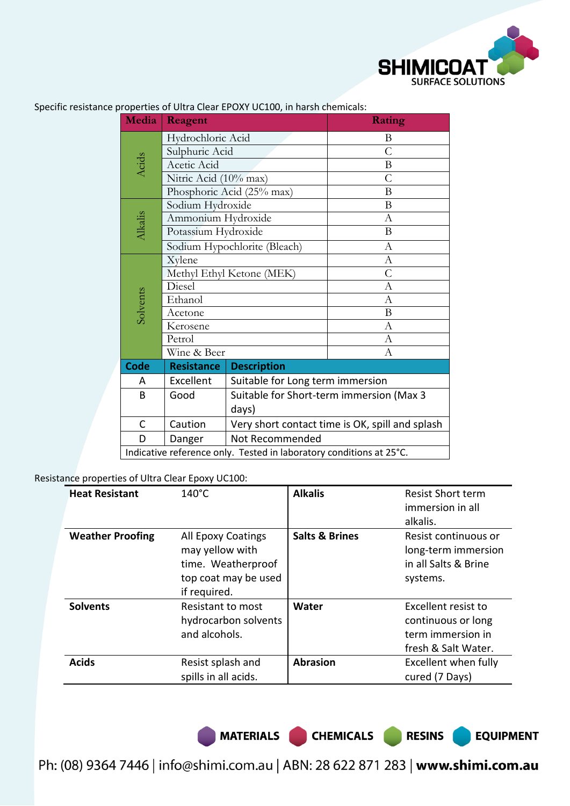

| Media                                                               | Reagent                      |                                                 | Rating         |  |
|---------------------------------------------------------------------|------------------------------|-------------------------------------------------|----------------|--|
|                                                                     | Hydrochloric Acid            |                                                 | B              |  |
|                                                                     | Sulphuric Acid               |                                                 | $\mathcal{C}$  |  |
| <b>Acids</b><br>Acetic Acid                                         |                              |                                                 | $\mathbf B$    |  |
|                                                                     | Nitric Acid (10% max)        |                                                 | $\overline{C}$ |  |
|                                                                     | Phosphoric Acid (25% max)    | B                                               |                |  |
|                                                                     | Sodium Hydroxide             |                                                 | B              |  |
|                                                                     | Ammonium Hydroxide           |                                                 | $\mathbf{A}$   |  |
| Alkalis                                                             | Potassium Hydroxide          |                                                 | B              |  |
|                                                                     |                              | Sodium Hypochlorite (Bleach)                    | $\mathbf{A}$   |  |
|                                                                     | Xylene                       |                                                 | $\mathbf{A}$   |  |
|                                                                     |                              | Methyl Ethyl Ketone (MEK)                       | $\overline{C}$ |  |
|                                                                     | Diesel<br>Ethanol<br>Acetone |                                                 | $\mathbf{A}$   |  |
|                                                                     |                              |                                                 | $\overline{A}$ |  |
| Solvents                                                            |                              |                                                 | B              |  |
|                                                                     | Kerosene                     |                                                 | A              |  |
|                                                                     | Petrol                       |                                                 | $\overline{A}$ |  |
|                                                                     | Wine & Beer                  |                                                 | А              |  |
| <b>Code</b>                                                         | <b>Resistance</b>            | <b>Description</b>                              |                |  |
| A                                                                   | Excellent                    | Suitable for Long term immersion                |                |  |
| B                                                                   | Good                         | Suitable for Short-term immersion (Max 3        |                |  |
|                                                                     |                              | days)                                           |                |  |
| C                                                                   | Caution                      | Very short contact time is OK, spill and splash |                |  |
| D                                                                   | Danger                       | Not Recommended                                 |                |  |
| Indicative reference only. Tested in laboratory conditions at 25°C. |                              |                                                 |                |  |

Specific resistance properties of Ultra Clear EPOXY UC100, in harsh chemicals:

Resistance properties of Ultra Clear Epoxy UC100:

| <b>Heat Resistant</b>   | $140^{\circ}$ C                                                                                     | <b>Alkalis</b>            | <b>Resist Short term</b><br>immersion in all<br>alkalis.                              |
|-------------------------|-----------------------------------------------------------------------------------------------------|---------------------------|---------------------------------------------------------------------------------------|
| <b>Weather Proofing</b> | All Epoxy Coatings<br>may yellow with<br>time. Weatherproof<br>top coat may be used<br>if required. | <b>Salts &amp; Brines</b> | Resist continuous or<br>long-term immersion<br>in all Salts & Brine<br>systems.       |
| <b>Solvents</b>         | <b>Resistant to most</b><br>hydrocarbon solvents<br>and alcohols.                                   | Water                     | Excellent resist to<br>continuous or long<br>term immersion in<br>fresh & Salt Water. |
| <b>Acids</b>            | Resist splash and<br>spills in all acids.                                                           | <b>Abrasion</b>           | Excellent when fully<br>cured (7 Days)                                                |

MATERIALS CHEMICALS RESINS

**EQUIPMENT**